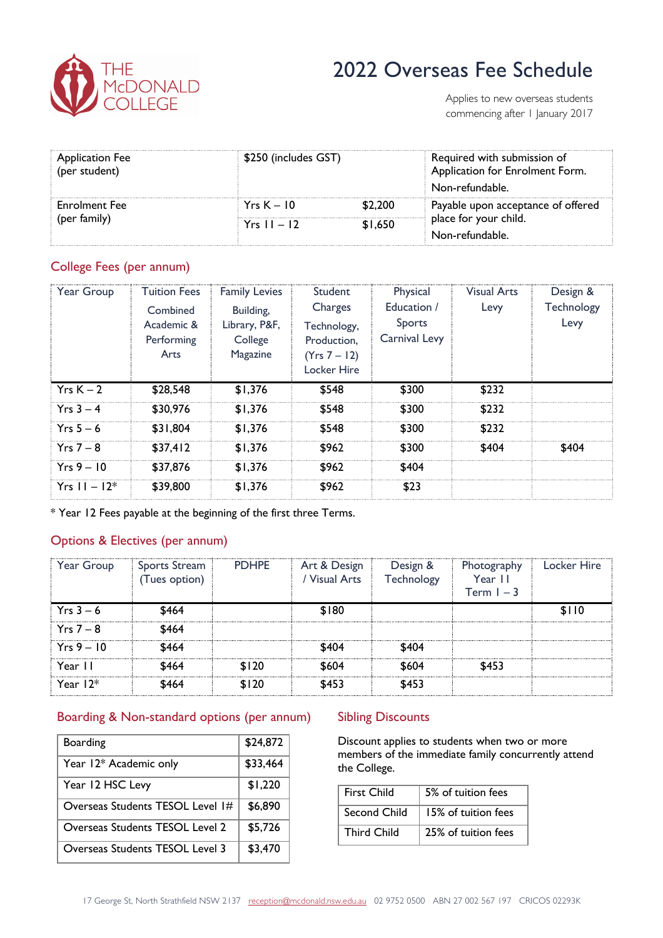

# 2022 Overseas Fee Schedule

Applies to new overseas students commencing after 1 January 2017

| <b>Application Fee</b><br>(per student) | \$250 (includes GST) |         | Required with submission of<br>Application for Enrolment Form.<br>Non-refundable. |  |
|-----------------------------------------|----------------------|---------|-----------------------------------------------------------------------------------|--|
| <b>Enrolment Fee</b><br>(per family)    | $YrsK - 10$          | \$2,200 | Payable upon acceptance of offered                                                |  |
|                                         | $Yrs 11 - 12$        | \$1,650 | place for your child.                                                             |  |
|                                         |                      |         | Non-refundable.                                                                   |  |

## College Fees (per annum)

| Year Group       | <b>Tuition Fees</b> | <b>Family Levies</b> | <b>Student</b>     | Physical             | <b>Visual Arts</b> | Design &   |
|------------------|---------------------|----------------------|--------------------|----------------------|--------------------|------------|
|                  | Combined            | Building,            | Charges            | Education /          | Levy               | Technology |
|                  | Academic &          | Library, P&F,        | Technology,        | Sports               |                    | Levy       |
|                  | Performing          | College              | Production.        | <b>Carnival Levy</b> |                    |            |
|                  | Arts                | Magazine             | (Yrs 7 – 12)       |                      |                    |            |
|                  |                     |                      | <b>Locker Hire</b> |                      |                    |            |
| $YrsK - 2$       | \$28,548            | \$1,376              | \$548              | \$300                | \$232              |            |
| $Yrs 3 - 4$      | \$30,976            | \$1.376              | \$548              | \$300                | \$232              |            |
| $Yrs 5-6$        | \$31,804            | \$1,376              | \$548              | \$300                | \$232              |            |
| $Yrs 7 - 8$      | \$37,412            | \$1,376              | \$962              | \$300                | \$404              | \$404      |
| $Yrs 9 - 10$     | \$37,876            | \$1,376              | \$962              | \$404                |                    |            |
| $Yrs = 11 - 12*$ | \$39,800            | \$1,376              | \$962              | \$23                 |                    |            |

\* Year 12 Fees payable at the beginning of the first three Terms.

# Options & Electives (per annum)

| Year Group   | Sports Stream<br>(Tues option) | <b>PDHPE</b> | Art & Design<br>/ Visual Arts | Design &<br>Technology | Photography<br>Year II<br>Term $I - 3$ | Locker Hire |
|--------------|--------------------------------|--------------|-------------------------------|------------------------|----------------------------------------|-------------|
| $Yrs 3 - 6$  | \$464                          |              | \$180                         |                        |                                        | \$110       |
| $Yrs 7 - 8$  | \$464                          |              |                               |                        |                                        |             |
| $Yrs 9 - 10$ | \$464                          |              | \$404                         | \$404                  |                                        |             |
| Year II      | \$464                          | \$120        | \$604                         | \$604                  | \$453                                  |             |
| Year $12*$   | \$464                          | \$120        | \$453                         | \$453                  |                                        |             |

### Boarding & Non-standard options (per annum)

| <b>Boarding</b>                        | \$24,872 |
|----------------------------------------|----------|
| Year 12* Academic only                 | \$33,464 |
| Year 12 HSC Levy                       | \$1,220  |
| Overseas Students TESOL Level 1#       | \$6,890  |
| Overseas Students TESOL Level 2        | \$5,726  |
| <b>Overseas Students TESOL Level 3</b> | \$3,470  |

### **Sibling Discounts**

Discount applies to students when two or more members of the immediate family concurrently attend the College.

| <b>First Child</b> | 5% of tuition fees  |
|--------------------|---------------------|
| Second Child       | 15% of tuition fees |
| <b>Third Child</b> | 25% of tuition fees |